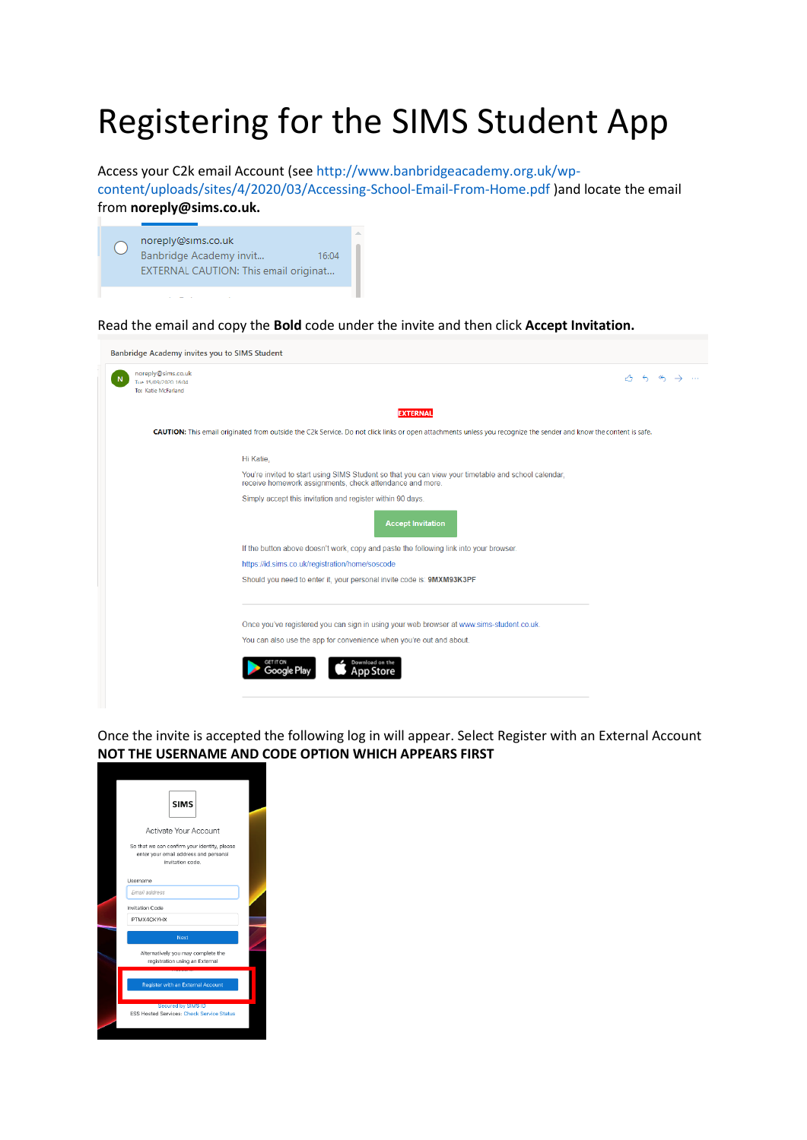## Registering for the SIMS Student App

Access your C2k email Account (see http://www.banbridgeacademy.org.uk/wp-

content/uploads/sites/4/2020/03/Accessing-School-Email-From-Home.pdf )and locate the email from **noreply@sims.co.uk.** 



Read the email and copy the **Bold** code under the invite and then click **Accept Invitation.**



Once the invite is accepted the following log in will appear. Select Register with an External Account **NOT THE USERNAME AND CODE OPTION WHICH APPEARS FIRST**

| <b>SIMS</b>                                                                                                                        |  |
|------------------------------------------------------------------------------------------------------------------------------------|--|
| Activate Your Account<br>So that we can confirm your identity, please<br>enter your email address and personal<br>invitation code. |  |
| Username<br>Fmail address<br>Invitation Code<br>PTMX4CKYHX                                                                         |  |
| Next<br>Alternatively you may complete the<br>registration using an External                                                       |  |
| Register with an External Account<br><b>Secured by SIMS ID</b>                                                                     |  |
| <b>ESS Hosted Services: Check Service Status</b>                                                                                   |  |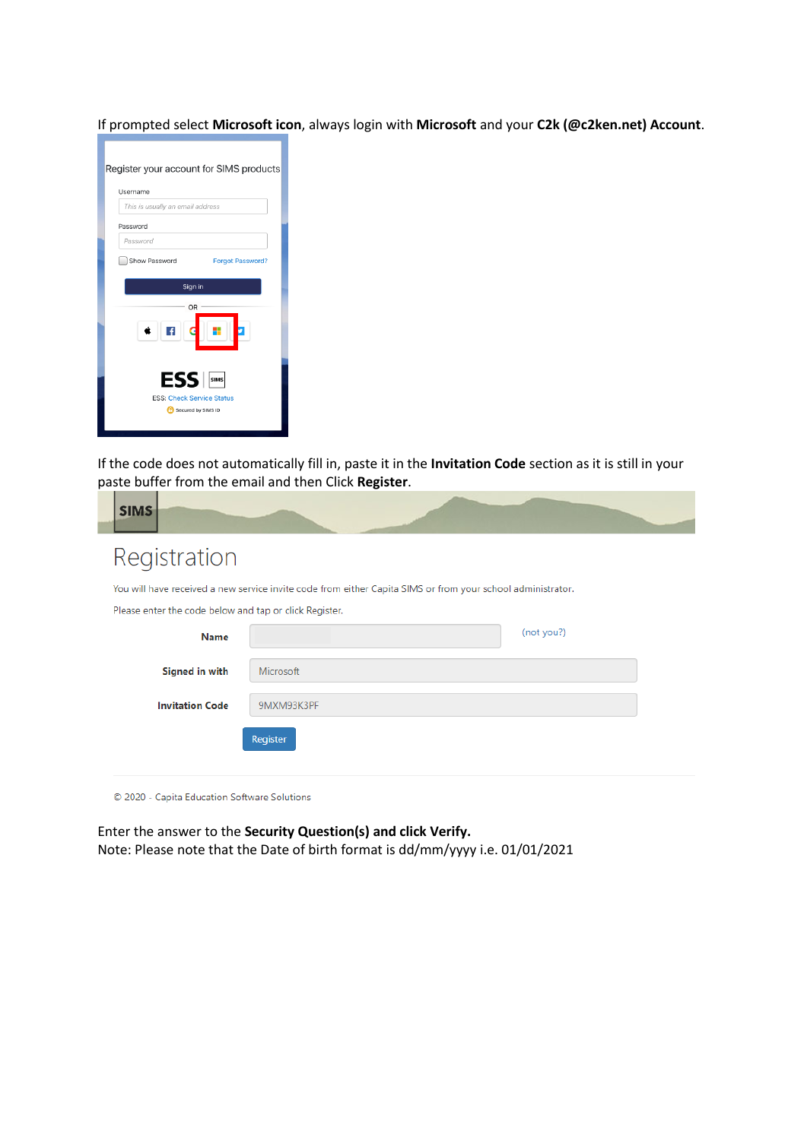If prompted select **Microsoft icon**, always login with **Microsoft** and your **C2k (@c2ken.net) Account**.

| Register your account for SIMS products                                    |  |  |  |  |  |  |  |
|----------------------------------------------------------------------------|--|--|--|--|--|--|--|
| Username                                                                   |  |  |  |  |  |  |  |
| This is usually an email address                                           |  |  |  |  |  |  |  |
| Password                                                                   |  |  |  |  |  |  |  |
| Password                                                                   |  |  |  |  |  |  |  |
| Show Password<br><b>Forgot Password?</b>                                   |  |  |  |  |  |  |  |
| Sign in                                                                    |  |  |  |  |  |  |  |
| OR                                                                         |  |  |  |  |  |  |  |
| ESS <b>SINGS</b><br><b>ESS: Check Service Status</b><br>Secured by SIMS ID |  |  |  |  |  |  |  |

If the code does not automatically fill in, paste it in the **Invitation Code** section as it is still in your paste buffer from the email and then Click **Register**.

| <b>SIMS</b>                                                                                                 |            |            |  |  |  |  |  |
|-------------------------------------------------------------------------------------------------------------|------------|------------|--|--|--|--|--|
| Registration                                                                                                |            |            |  |  |  |  |  |
| You will have received a new service invite code from either Capita SIMS or from your school administrator. |            |            |  |  |  |  |  |
| Please enter the code below and tap or click Register.                                                      |            |            |  |  |  |  |  |
| <b>Name</b>                                                                                                 |            | (not you?) |  |  |  |  |  |
| <b>Signed in with</b>                                                                                       | Microsoft  |            |  |  |  |  |  |
| <b>Invitation Code</b>                                                                                      | 9MXM93K3PF |            |  |  |  |  |  |
|                                                                                                             | Register   |            |  |  |  |  |  |

© 2020 - Capita Education Software Solutions

Enter the answer to the **Security Question(s) and click Verify.**  Note: Please note that the Date of birth format is dd/mm/yyyy i.e. 01/01/2021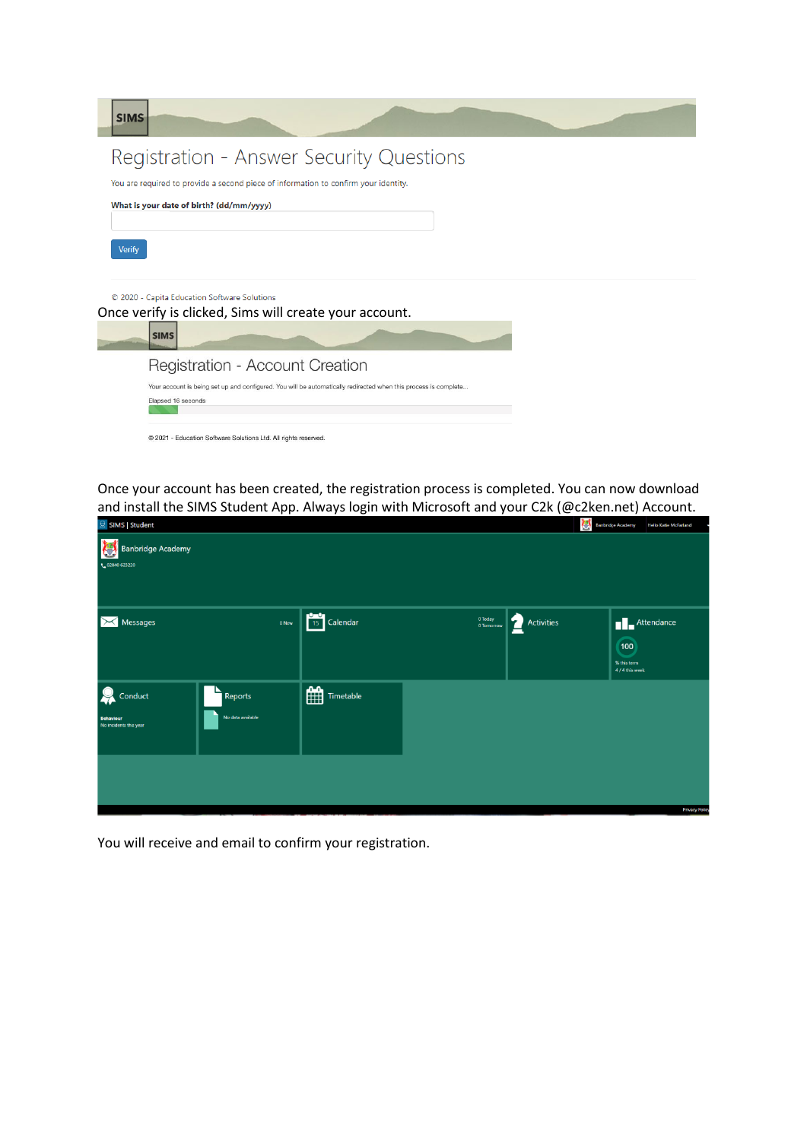| <b>SIMS</b>                                                                                                                           |
|---------------------------------------------------------------------------------------------------------------------------------------|
| Registration - Answer Security Questions                                                                                              |
| You are required to provide a second piece of information to confirm your identity.                                                   |
| What is your date of birth? (dd/mm/yyyy)                                                                                              |
| <b>Verify</b>                                                                                                                         |
| © 2020 - Capita Education Software Solutions<br>Once verify is clicked, Sims will create your account.<br><b>SIMS</b>                 |
| Registration - Account Creation                                                                                                       |
| Your account is being set up and configured. You will be automatically redirected when this process is complete<br>Elapsed 16 seconds |
| @ 2021 - Education Software Solutions Ltd. All rights reserved.                                                                       |

Once your account has been created, the registration process is completed. You can now download and install the SIMS Student App. Always login with Microsoft and your C2k (@c2ken.net) Account.

| <b>8</b> SIMS Student                                      |                              |       |                                                                                                                                                                                                                                                                                                                                        |                       |                 | Banbridge Academy<br><b>Hello Katie McFarland</b>                  |
|------------------------------------------------------------|------------------------------|-------|----------------------------------------------------------------------------------------------------------------------------------------------------------------------------------------------------------------------------------------------------------------------------------------------------------------------------------------|-----------------------|-----------------|--------------------------------------------------------------------|
| <b>Banbridge Academy</b><br>C<br>L 02840 623220            |                              |       |                                                                                                                                                                                                                                                                                                                                        |                       |                 |                                                                    |
| Messages<br>∣ $\Join$                                      |                              | 0 New | $\begin{array}{ c c c }\n\hline\n & 15 & \text{Calendar}\n\end{array}$                                                                                                                                                                                                                                                                 | 0 Today<br>0 Tomorrow | Ł<br>Activities | $\blacksquare$ Attendance<br>100<br>% this term<br>4 / 4 this week |
| $\Omega$<br>Conduct<br>Behaviour<br>No incidents this year | Reports<br>No data available |       | $\begin{picture}(120,110) \put(15,110){\line(1,0){15}} \put(15,110){\line(1,0){15}} \put(15,110){\line(1,0){15}} \put(15,110){\line(1,0){15}} \put(15,110){\line(1,0){15}} \put(15,110){\line(1,0){15}} \put(15,110){\line(1,0){15}} \put(15,110){\line(1,0){15}} \put(15,110){\line(1,0){15}} \put(15,110){\line(1,0){15}} \put(15,1$ |                       |                 |                                                                    |
|                                                            |                              |       |                                                                                                                                                                                                                                                                                                                                        |                       |                 | <b>Privacy Polic</b>                                               |

You will receive and email to confirm your registration.